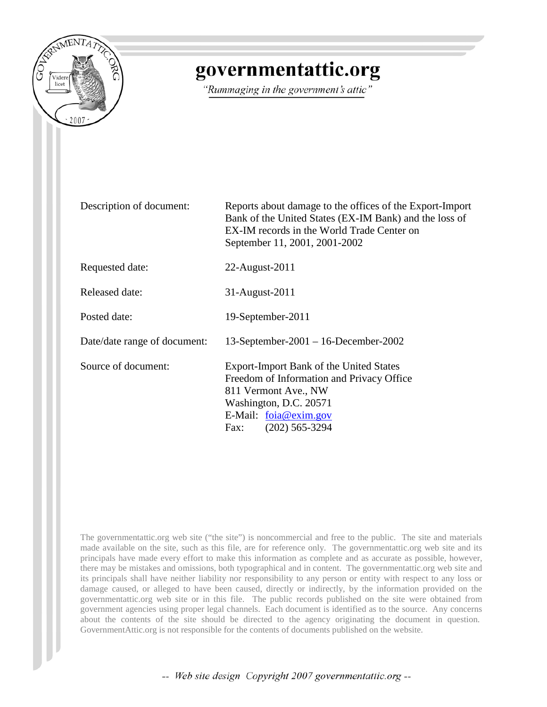

## governmentattic.org

"Rummaging in the government's attic"

| Description of document:     | Reports about damage to the offices of the Export-Import<br>Bank of the United States (EX-IM Bank) and the loss of<br>EX-IM records in the World Trade Center on<br>September 11, 2001, 2001-2002 |
|------------------------------|---------------------------------------------------------------------------------------------------------------------------------------------------------------------------------------------------|
| Requested date:              | 22-August-2011                                                                                                                                                                                    |
| <b>Released date:</b>        | 31-August-2011                                                                                                                                                                                    |
| Posted date:                 | 19-September-2011                                                                                                                                                                                 |
| Date/date range of document: | 13-September-2001 - 16-December-2002                                                                                                                                                              |
| Source of document:          | Export-Import Bank of the United States<br>Freedom of Information and Privacy Office<br>811 Vermont Ave., NW<br>Washington, D.C. 20571<br>E-Mail: foia@exim.gov<br>$(202)$ 565-3294<br>Fax:       |

The governmentattic.org web site ("the site") is noncommercial and free to the public. The site and materials made available on the site, such as this file, are for reference only. The governmentattic.org web site and its principals have made every effort to make this information as complete and as accurate as possible, however, there may be mistakes and omissions, both typographical and in content. The governmentattic.org web site and its principals shall have neither liability nor responsibility to any person or entity with respect to any loss or damage caused, or alleged to have been caused, directly or indirectly, by the information provided on the governmentattic.org web site or in this file. The public records published on the site were obtained from government agencies using proper legal channels. Each document is identified as to the source. Any concerns about the contents of the site should be directed to the agency originating the document in question. GovernmentAttic.org is not responsible for the contents of documents published on the website.

-- Web site design Copyright 2007 governmentattic.org --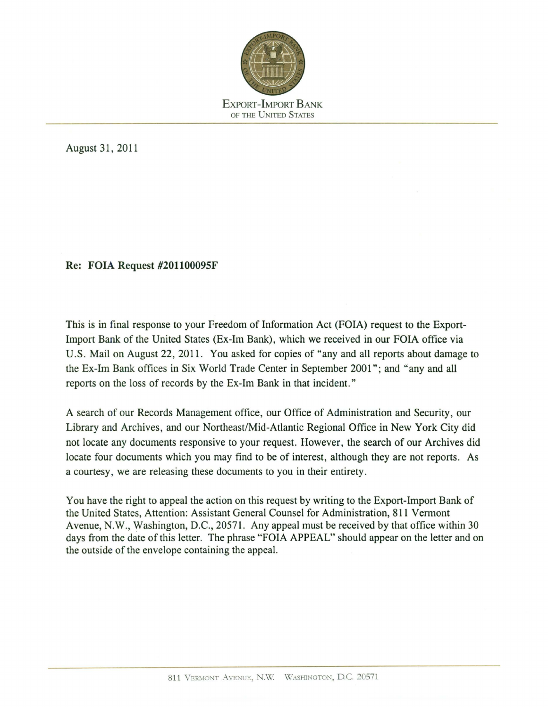

August 31, 2011

Re: FOIA Request #201100095F

This is in final response to your Freedom of Information Act (FOIA) request to the Export-Import Bank of the United States (Ex-Im Bank), which we received in our FOIA office via U.S. Mail on August 22, 2011. You asked for copies of "any and all reports about damage to the Ex-Im Bank offices in Six World Trade Center in September 2001"; and "any and all reports on the loss of records by the Ex-Im Bank in that incident."

A search of our Records Management office, our Office of Administration and Security, our Library and Archives, and our Northeast/Mid-Atlantic Regional Office in New York City did not locate any documents responsive to your request. However, the search of our Archives did locate four documents which you may find to be of interest, although they are not reports. As a courtesy, we are releasing these documents to you in their entirety.

You have the right to appeal the action on this request by writing to the Export-Import Bank of the United States, Attention: Assistant General Counsel for Administration, 811 Vermont Avenue, N.W., Washington, D.C., 20571. Any appeal must be received by that office within 30 days from the date of this letter. The phrase "FOIA APPEAL" should appear on the letter and on the outside of the envelope containing the appeal.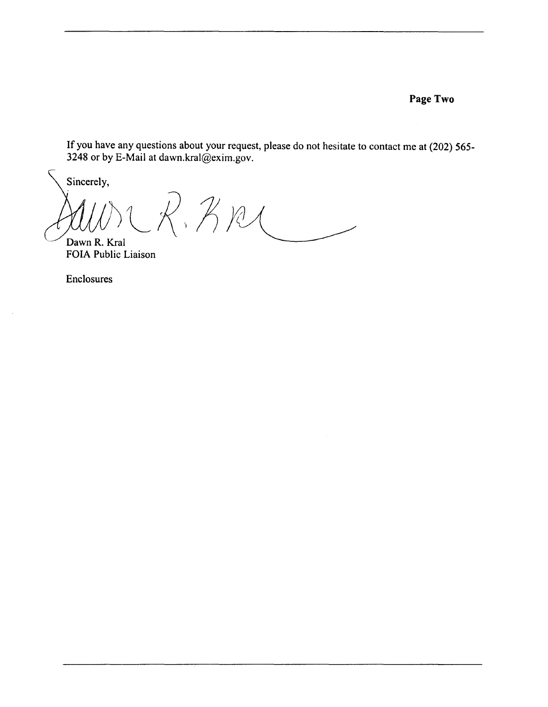**Page Two** 

If you have any questions about your request, please do not hesitate to contact me at (202) 565- 3248 or by E-Mail at dawn.kral@exim.gov.

Sincerely,  $R.RM$ Dawn R. Kral

FOIA Public Liaison

Enclosures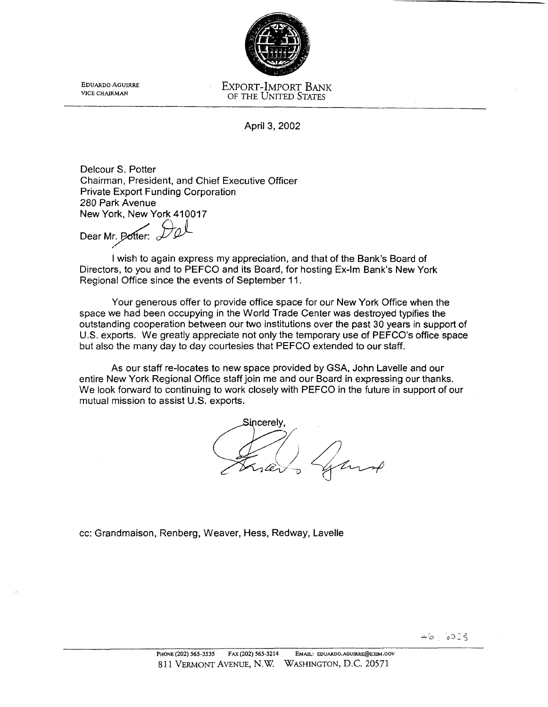EDUARDO AGUIRRE VICE CHAIRMAN



EXPORT-IMPORT BANK OF THE UNITED STATES

April 3, 2002

Delcour S. Potter Chairman, President, and Chief Executive Officer Private Export Funding Corporation 280 Park Avenue New York, New York 410017

Dear Mr. Potter:

I wish to again express my appreciation, and that of the Bank's Board of Directors, to you and to PEFCO and its Board, for hosting Ex-lm Bank's New York Regional Office since the events of September 11.

Your generous offer to provide office space for our New York Office when the space we had been occupying in the World Trade Center was destroyed typifies the outstanding cooperation between our two institutions over the past 30 years in support of U.S. exports. We greatly appreciate not only the temporary use of PEFCO's office space but also the many day to day courtesies that PEFCO extended to our staff.

As our staff re-locates to new space provided by GSA, John Lavelle and our entire New York Regional Office staff join me and our Board in expressing our thanks. We look forward to continuing to work closely with PEFCO in the future in support of our mutual mission to assist U.S. exports.

Sincerely,

cc: Grandmaison, Renberg, Weaver, Hess, Redway, Lavelle

 $+6.0028$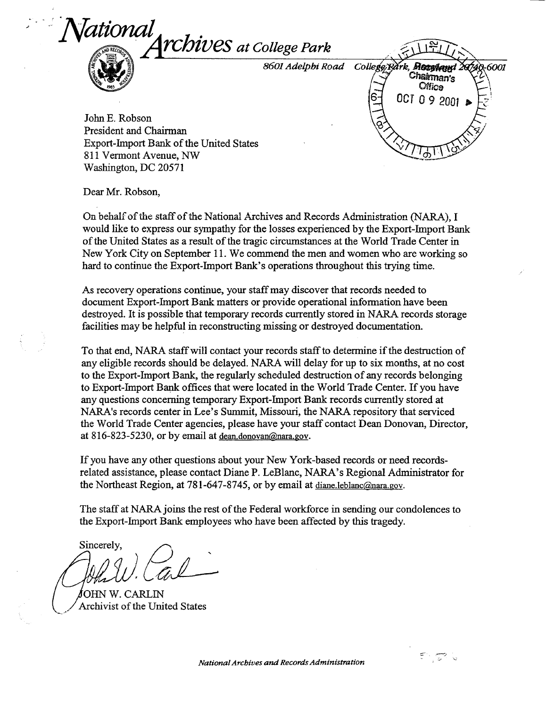

Chairman's **O**ffice 0CT 0 9 2001

College Rark, Merghand.

ಕ್ಯಾರಾ ಆ

40-6001

John E. Robson President and Chairman Export-Import Bank of the United States 811 Vermont Avenue, NW Washington, DC 20571

Dear Mr. Robson,

On behalf of the staff of the National Archives and Records Administration (NARA), I would like to express our sympathy for the losses experienced by the Export-hnport Bank of the United States as a result of the tragic circumstances at the World Trade Center in New York City on September 11. We commend the men and women who are working so hard to continue the Export-Import Bank's operations throughout this trying time.

As recovery operations continue, your staff may discover that records needed to document Export-hnport Bank matters or provide operational information have been destroyed. It is possible that temporary records currently stored in NARA records storage facilities may be helpful in reconstructing missing or destroyed documentation.

To that end, NARA staff will contact your records staff to determine if the destruction of any eligible records should be delayed. NARA will delay for up to six months, at no cost to the Export-hnport Bank, the regularly scheduled destruction of any records belonging to Export-hnport Bank offices that were located in the World Trade Center. If you have any questions concerning temporary Export-hnport Bank records currently stored at NARA's records center in Lee's Summit, Missouri, the NARA repository that serviced the World Trade Center agencies, please have your staff contact Dean Donovan, Director, at 816-823-5230, or by email at dean.donovan@nara.gov.

If you have any other questions about your New York -based records or need recordsrelated assistance, please contact Diane P. LeBlanc, NARA's Regional Administrator for the Northeast Region, at 781-647-8745, or by email at diane.leblanc@nara.gov.

The staff at NARA joins the rest of the Federal workforce in sending our condolences to the Export-hnport Bank employees who have been affected by this tragedy.

Sincerely,  $:$  Carl

OHN W. CARLIN Archivist of the United States

*National Archives and Records Administration*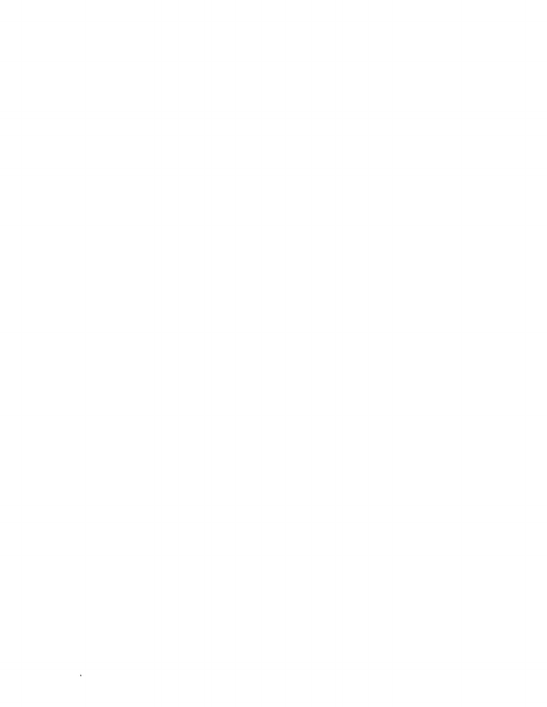$\mathbf{v}^{(i)}$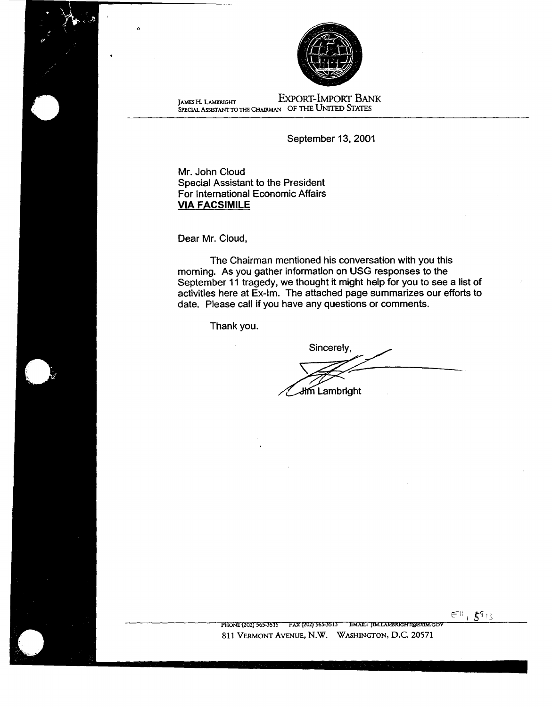

JAMES H. LAMI!RJGHT ExPORT-IMPORT BANK SPECIALASSISTANTTOTHECHAIRMAN OF TI-lE UNITED STATES

September 13, 2001

Mr. John Cloud Special Assistant to the President For International Economic Affairs **VIA FACSIMILE** 

Dear Mr. Cloud,

 $\ddot{\phantom{0}}$ 

The Chairman mentioned his conversation with you this morning. As you gather information on USG responses to the September 11 tragedy, we thought it might help for you to see a list of activities here at Ex-lm. The attached page summarizes our efforts to date. Please call if you have any questions or comments.

Thank you.

Sincerely, Jim Lambright

 $F^{\parallel}$  ,  $S^{9/3}$ 

PHONE (202) 565-3515 FAX (202) 565-3513 EMAIL: JIM.LAMBRIGHT@EXIM.GOV 811 VERMONT AVENUE, N.W. WASHINGTON, D.C. 20571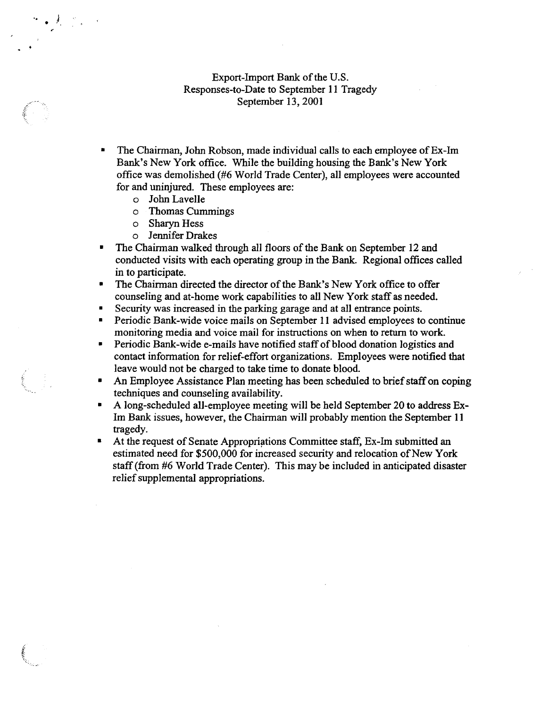## Export-Import Bank of the U.S. Responses-to-Date to September 11 Tragedy September 13, 2001

- The Chairman, John Robson, made individual calls to each employee of  $Ex$ -Im Bank's New York office. While the building housing the Bank's New York office was demolished (#6 World Trade Center), all employees were accounted for and uninjured. These employees are:
	- o John Lavelle

 $\cdot \cdot \cdot$ 

- o Thomas Cummings
- o Sharyn Hess
- o Jennifer Drakes
- The Chairman walked through all floors of the Bank on September 12 and conducted visits with each operating group in the Bank. Regional offices called in to participate.
- The Chairman directed the director of the Bank's New York office to offer counseling and at-home work capabilities to all New York staff as needed.
- Security was increased in the parking garage and at all entrance points.
- Periodic Bank-wide voice mails on September 11 advised employees to continue monitoring media and voice mail for instructions on when to return to work.
- Periodic Bank-wide e-mails have notified staff of blood donation logistics and contact information for relief-effort organizations. Employees were notified that leave would not be charged to take time to donate blood.
- An Employee Assistance Plan meeting has been scheduled to brief staff on coping techniques and counseling availability.
- A long-scheduled aU-employee meeting will be held September 20 to address Ex-1m Bank issues, however, the Chairman will probably mention the September 11 tragedy.
- At the request of Senate Appropriations Committee staff, Ex-Im submitted an estimated need for \$500,000 for increased security and relocation of New York staff (from #6 World Trade Center). This may be included in anticipated disaster relief supplemental appropriations.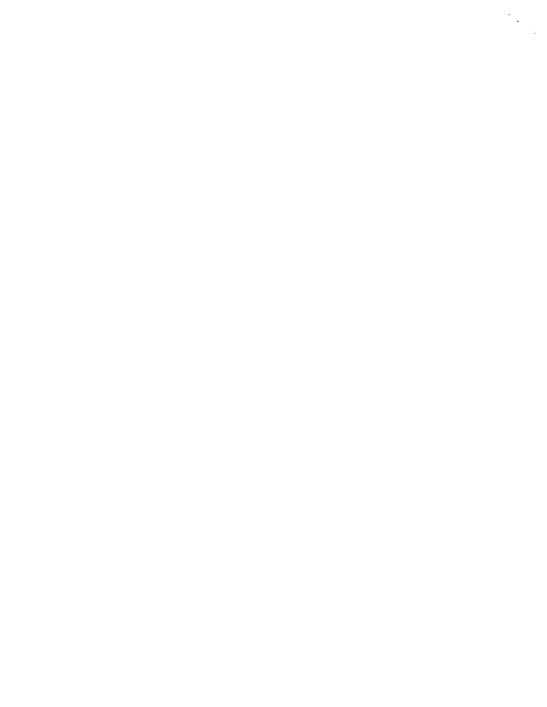÷,  $\ddot{\phantom{0}}$ 

 $\frac{1}{2}$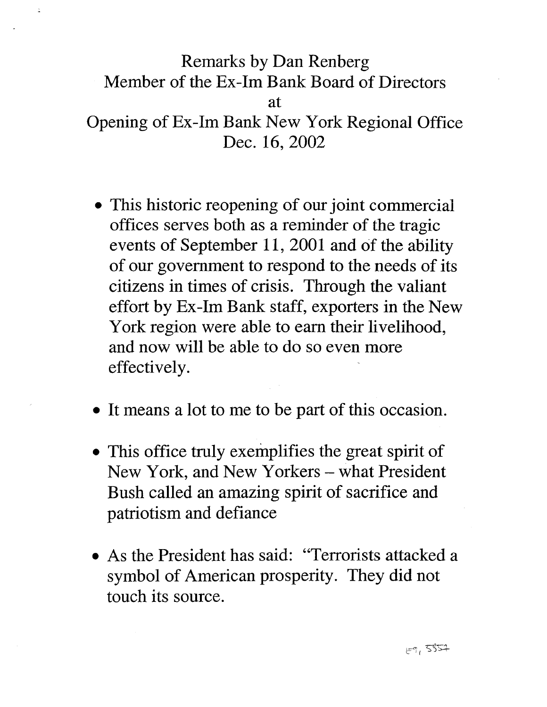Remarks by Dan Renberg Member of the Ex-Im Bank Board of Directors at Opening of Ex-Im Bank New York Regional Office Dec. 16, 2002

- This historic reopening of our joint commercial offices serves both as a reminder of the tragic events of September 11, 2001 and of the ability of our government to respond to the needs of its citizens in times of crisis. Through the valiant effort by Ex-ImBank staff, exporters in the New York region were able to earn their livelihood, and now will be able to do so even more effectively.
- It means a lot to me to be part of this occasion.
- This office truly exemplifies the great spirit of New York, and New Yorkers- what President Bush called an amazing spirit of sacrifice and patriotism and defiance
- As the President has said: "Terrorists attacked a symbol of American prosperity. They did not touch its source.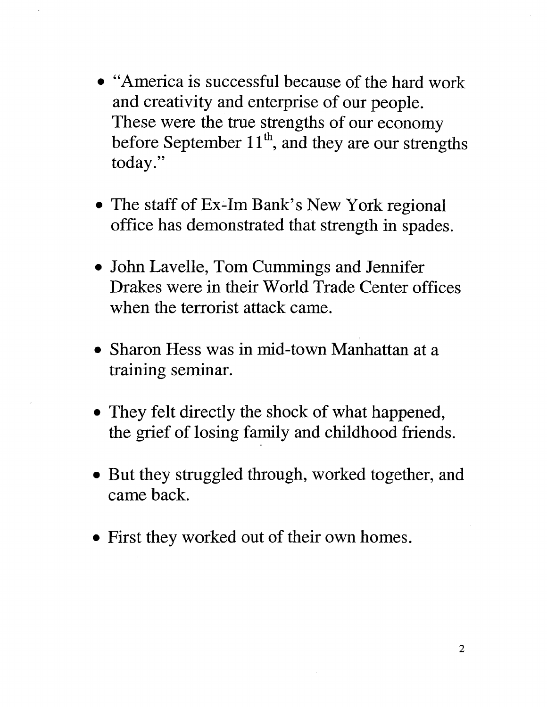- "America is successful because of the hard work and creativity and enterprise of our people. These were the true strengths of our economy before September  $11<sup>th</sup>$ , and they are our strengths today."
- The staff of Ex-Im Bank's New York regional office has demonstrated that strength in spades.
- John Lavelle, Tom Cummings and Jennifer Drakes were in their World Trade Center offices when the terrorist attack came.
- Sharon Hess was in mid-town Manhattan at a training seminar.
- They felt directly the shock of what happened, the grief of losing family and childhood friends.
- But they struggled through, worked together, and came back.
- First they worked out of their own homes.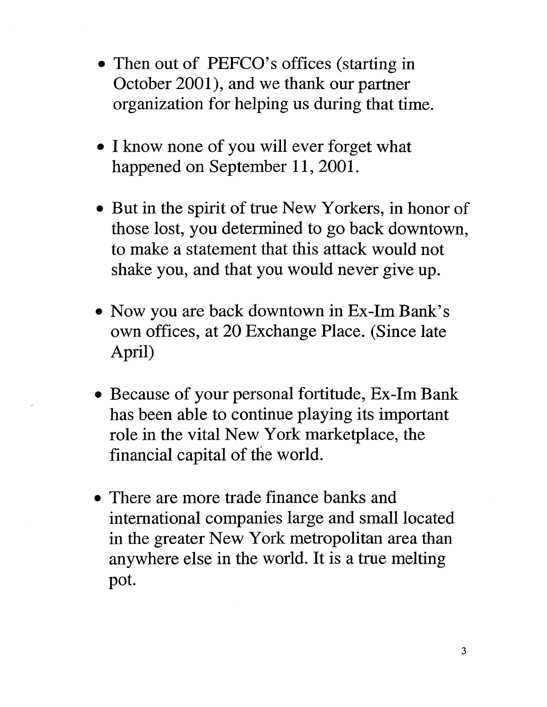- Then out of PEFCO's offices (starting in October 2001), and we thank our partner organization for helping us during that time.
- I know none of you will ever forget what happened on September 11, 2001.
- But in the spirit of true New Yorkers, in honor of those lost, you determined to go back downtown, to make a statement that this attack would not shake you, and that you would never give up.
- Now you are back downtown in Ex-Im Bank's own offices, at 20 Exchange Place. (Since late April)
- Because of your personal fortitude, Ex-Im Bank has been able to continue playing its important role in the vital New York marketplace, the financial capital of the world.
- There are more trade finance banks and international companies large and small located in the greater New York metropolitan area than anywhere else in the world. It is a true melting pot.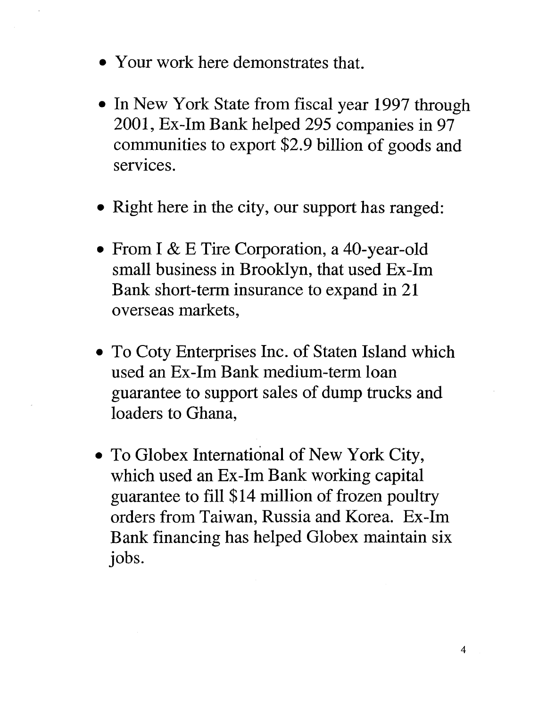- Your work here demonstrates that.
- In New York State from fiscal year 1997 through 2001, Ex-ImBank helped 295 companies in 97 communities to export \$2.9 billion of goods and services.
- Right here in the city, our support has ranged:
- From I & E Tire Corporation, a 40-year-old small business in Brooklyn, that used Ex-Im Bank short-term insurance to expand in 21 overseas markets,
- To Coty Enterprises Inc. of Staten Island which used an Ex-1m Bank medium-term loan guarantee to support sales of dump trucks and loaders to Ghana,
- To Globex International of New York City, which used an Ex-Im Bank working capital guarantee to fill \$14 million of frozen poultry orders from Taiwan, Russia and Korea. Ex-1m Bank financing has helped Globex maintain six jobs.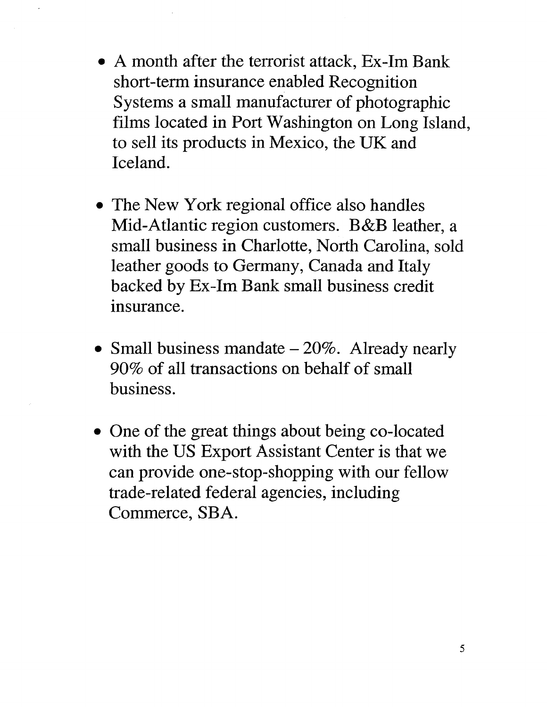- A month after the terrorist attack, Ex-Im Bank short-term insurance enabled Recognition Systems a small manufacturer of photographic films located in Port Washington on Long Island, to sell its products in Mexico, the UK and Iceland.
- The New York regional office also handles Mid-Atlantic region customers. B&B leather, a small business in Charlotte, North Carolina, sold leather goods to Germany, Canada and Italy backed by Ex-Im Bank small business credit insurance.
- Small business mandate  $-20\%$ . Already nearly 90% of all transactions on behalf of small business.
- One of the great things about being co-located with the US Export Assistant Center is that we can provide one-stop-shopping with our fellow trade-related federal agencies, including Commerce, SBA.